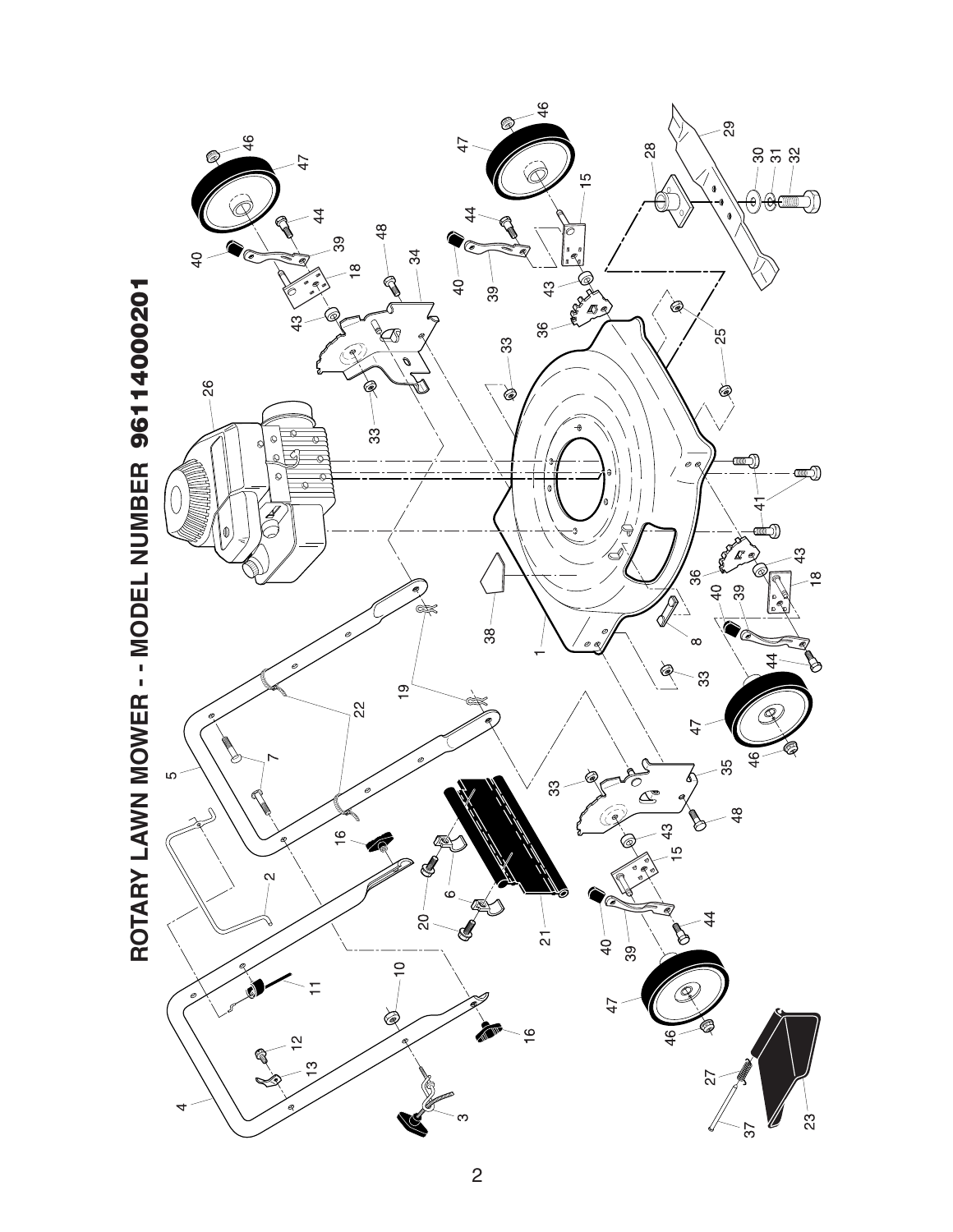